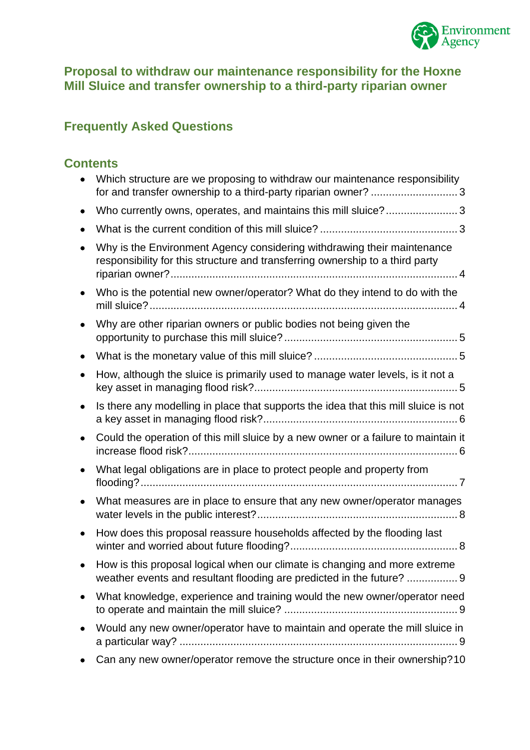

#### **Proposal to withdraw our maintenance responsibility for the Hoxne Mill Sluice and transfer ownership to a third-party riparian owner**

# **Frequently Asked Questions**

## **Contents**

| Which structure are we proposing to withdraw our maintenance responsibility<br>for and transfer ownership to a third-party riparian owner?  3            |
|----------------------------------------------------------------------------------------------------------------------------------------------------------|
| Who currently owns, operates, and maintains this mill sluice?3                                                                                           |
|                                                                                                                                                          |
| Why is the Environment Agency considering withdrawing their maintenance<br>responsibility for this structure and transferring ownership to a third party |
| Who is the potential new owner/operator? What do they intend to do with the                                                                              |
| Why are other riparian owners or public bodies not being given the                                                                                       |
|                                                                                                                                                          |
| How, although the sluice is primarily used to manage water levels, is it not a                                                                           |
| Is there any modelling in place that supports the idea that this mill sluice is not                                                                      |
| Could the operation of this mill sluice by a new owner or a failure to maintain it                                                                       |
| What legal obligations are in place to protect people and property from                                                                                  |
| What measures are in place to ensure that any new owner/operator manages                                                                                 |
| How does this proposal reassure households affected by the flooding last                                                                                 |
| How is this proposal logical when our climate is changing and more extreme<br>weather events and resultant flooding are predicted in the future?  9      |
| What knowledge, experience and training would the new owner/operator need                                                                                |
| Would any new owner/operator have to maintain and operate the mill sluice in                                                                             |
| Can any new owner/operator remove the structure once in their ownership? 10                                                                              |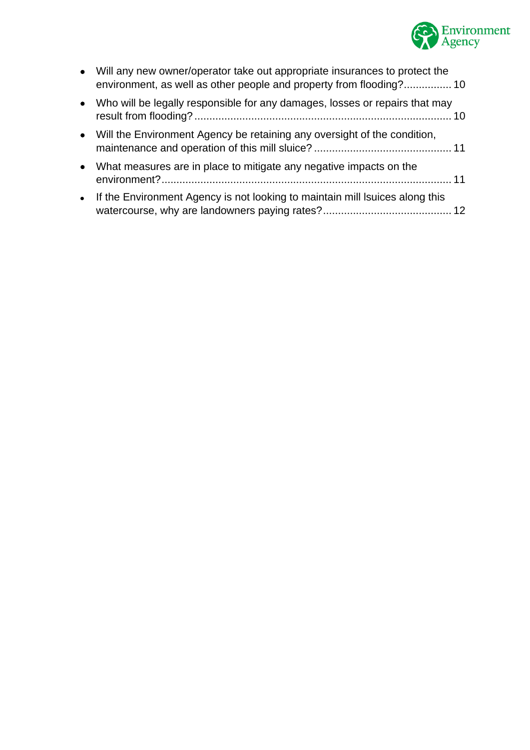

| • Will any new owner/operator take out appropriate insurances to protect the<br>environment, as well as other people and property from flooding? 10 |  |
|-----------------------------------------------------------------------------------------------------------------------------------------------------|--|
| • Who will be legally responsible for any damages, losses or repairs that may                                                                       |  |
| • Will the Environment Agency be retaining any oversight of the condition,                                                                          |  |
| • What measures are in place to mitigate any negative impacts on the                                                                                |  |
| • If the Environment Agency is not looking to maintain mill Isuices along this                                                                      |  |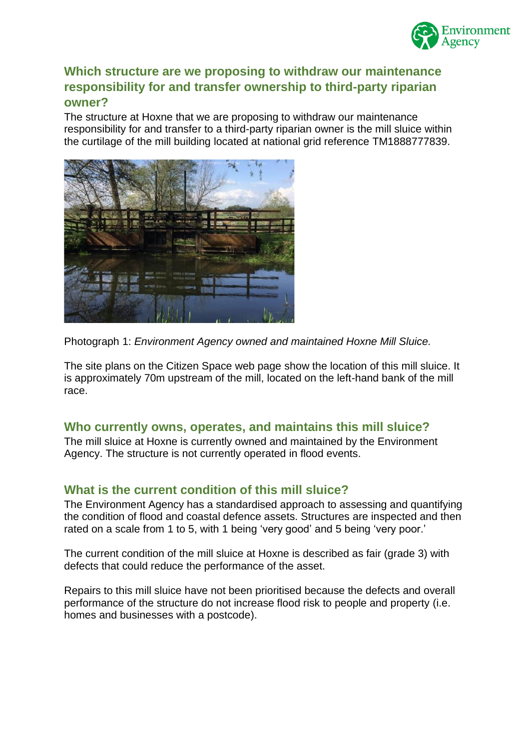

#### <span id="page-2-0"></span>**Which structure are we proposing to withdraw our maintenance responsibility for and transfer ownership to third-party riparian owner?**

The structure at Hoxne that we are proposing to withdraw our maintenance responsibility for and transfer to a third-party riparian owner is the mill sluice within the curtilage of the mill building located at national grid reference TM1888777839.



Photograph 1: *Environment Agency owned and maintained Hoxne Mill Sluice.*

The site plans on the Citizen Space web page show the location of this mill sluice. It is approximately 70m upstream of the mill, located on the left-hand bank of the mill race.

#### <span id="page-2-1"></span>**Who currently owns, operates, and maintains this mill sluice?**

The mill sluice at Hoxne is currently owned and maintained by the Environment Agency. The structure is not currently operated in flood events.

#### <span id="page-2-2"></span>**What is the current condition of this mill sluice?**

The Environment Agency has a standardised approach to assessing and quantifying the condition of flood and coastal defence assets. Structures are inspected and then rated on a scale from 1 to 5, with 1 being 'very good' and 5 being 'very poor.'

The current condition of the mill sluice at Hoxne is described as fair (grade 3) with defects that could reduce the performance of the asset.

Repairs to this mill sluice have not been prioritised because the defects and overall performance of the structure do not increase flood risk to people and property (i.e. homes and businesses with a postcode).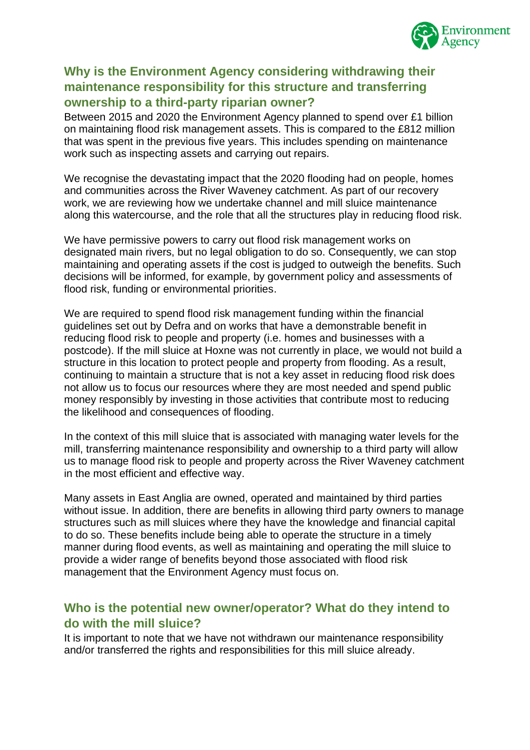

## <span id="page-3-0"></span>**Why is the Environment Agency considering withdrawing their maintenance responsibility for this structure and transferring ownership to a third-party riparian owner?**

Between 2015 and 2020 the Environment Agency planned to spend over £1 billion on maintaining flood risk management assets. This is compared to the £812 million that was spent in the previous five years. This includes spending on maintenance work such as inspecting assets and carrying out repairs.

We recognise the devastating impact that the 2020 flooding had on people, homes and communities across the River Waveney catchment. As part of our recovery work, we are reviewing how we undertake channel and mill sluice maintenance along this watercourse, and the role that all the structures play in reducing flood risk.

We have permissive powers to carry out flood risk management works on designated main rivers, but no legal obligation to do so. Consequently, we can stop maintaining and operating assets if the cost is judged to outweigh the benefits. Such decisions will be informed, for example, by government policy and assessments of flood risk, funding or environmental priorities.

We are required to spend flood risk management funding within the financial guidelines set out by Defra and on works that have a demonstrable benefit in reducing flood risk to people and property (i.e. homes and businesses with a postcode). If the mill sluice at Hoxne was not currently in place, we would not build a structure in this location to protect people and property from flooding. As a result, continuing to maintain a structure that is not a key asset in reducing flood risk does not allow us to focus our resources where they are most needed and spend public money responsibly by investing in those activities that contribute most to reducing the likelihood and consequences of flooding.

In the context of this mill sluice that is associated with managing water levels for the mill, transferring maintenance responsibility and ownership to a third party will allow us to manage flood risk to people and property across the River Waveney catchment in the most efficient and effective way.

Many assets in East Anglia are owned, operated and maintained by third parties without issue. In addition, there are benefits in allowing third party owners to manage structures such as mill sluices where they have the knowledge and financial capital to do so. These benefits include being able to operate the structure in a timely manner during flood events, as well as maintaining and operating the mill sluice to provide a wider range of benefits beyond those associated with flood risk management that the Environment Agency must focus on.

### <span id="page-3-1"></span>**Who is the potential new owner/operator? What do they intend to do with the mill sluice?**

It is important to note that we have not withdrawn our maintenance responsibility and/or transferred the rights and responsibilities for this mill sluice already.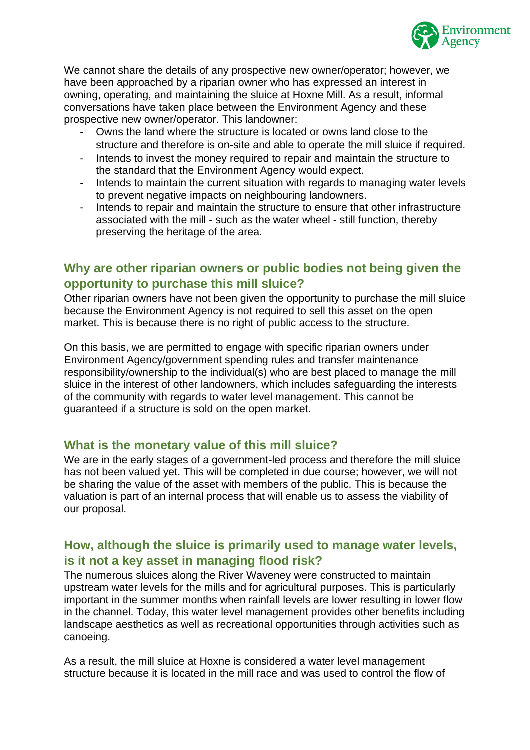

We cannot share the details of any prospective new owner/operator; however, we have been approached by a riparian owner who has expressed an interest in owning, operating, and maintaining the sluice at Hoxne Mill. As a result, informal conversations have taken place between the Environment Agency and these prospective new owner/operator. This landowner:

- Owns the land where the structure is located or owns land close to the structure and therefore is on-site and able to operate the mill sluice if required.
- Intends to invest the money required to repair and maintain the structure to the standard that the Environment Agency would expect.
- Intends to maintain the current situation with regards to managing water levels to prevent negative impacts on neighbouring landowners.
- Intends to repair and maintain the structure to ensure that other infrastructure associated with the mill - such as the water wheel - still function, thereby preserving the heritage of the area.

#### <span id="page-4-0"></span>**Why are other riparian owners or public bodies not being given the opportunity to purchase this mill sluice?**

Other riparian owners have not been given the opportunity to purchase the mill sluice because the Environment Agency is not required to sell this asset on the open market. This is because there is no right of public access to the structure.

On this basis, we are permitted to engage with specific riparian owners under Environment Agency/government spending rules and transfer maintenance responsibility/ownership to the individual(s) who are best placed to manage the mill sluice in the interest of other landowners, which includes safeguarding the interests of the community with regards to water level management. This cannot be guaranteed if a structure is sold on the open market.

#### <span id="page-4-1"></span>**What is the monetary value of this mill sluice?**

We are in the early stages of a government-led process and therefore the mill sluice has not been valued yet. This will be completed in due course; however, we will not be sharing the value of the asset with members of the public. This is because the valuation is part of an internal process that will enable us to assess the viability of our proposal.

### <span id="page-4-2"></span>**How, although the sluice is primarily used to manage water levels, is it not a key asset in managing flood risk?**

The numerous sluices along the River Waveney were constructed to maintain upstream water levels for the mills and for agricultural purposes. This is particularly important in the summer months when rainfall levels are lower resulting in lower flow in the channel. Today, this water level management provides other benefits including landscape aesthetics as well as recreational opportunities through activities such as canoeing.

As a result, the mill sluice at Hoxne is considered a water level management structure because it is located in the mill race and was used to control the flow of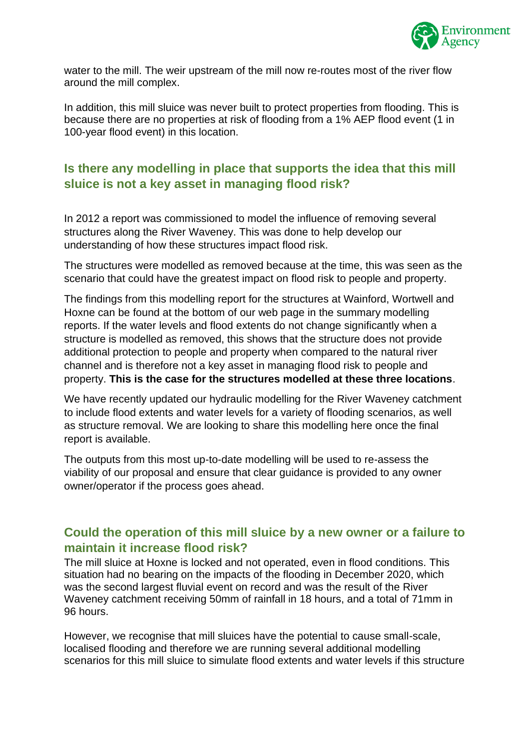

water to the mill. The weir upstream of the mill now re-routes most of the river flow around the mill complex.

In addition, this mill sluice was never built to protect properties from flooding. This is because there are no properties at risk of flooding from a 1% AEP flood event (1 in 100-year flood event) in this location.

## <span id="page-5-0"></span>**Is there any modelling in place that supports the idea that this mill sluice is not a key asset in managing flood risk?**

In 2012 a report was commissioned to model the influence of removing several structures along the River Waveney. This was done to help develop our understanding of how these structures impact flood risk.

The structures were modelled as removed because at the time, this was seen as the scenario that could have the greatest impact on flood risk to people and property.

The findings from this modelling report for the structures at Wainford, Wortwell and Hoxne can be found at the bottom of our web page in the summary modelling reports. If the water levels and flood extents do not change significantly when a structure is modelled as removed, this shows that the structure does not provide additional protection to people and property when compared to the natural river channel and is therefore not a key asset in managing flood risk to people and property. **This is the case for the structures modelled at these three locations**.

We have recently updated our hydraulic modelling for the River Waveney catchment to include flood extents and water levels for a variety of flooding scenarios, as well as structure removal. We are looking to share this modelling here once the final report is available.

The outputs from this most up-to-date modelling will be used to re-assess the viability of our proposal and ensure that clear guidance is provided to any owner owner/operator if the process goes ahead.

### <span id="page-5-1"></span>**Could the operation of this mill sluice by a new owner or a failure to maintain it increase flood risk?**

The mill sluice at Hoxne is locked and not operated, even in flood conditions. This situation had no bearing on the impacts of the flooding in December 2020, which was the second largest fluvial event on record and was the result of the River Waveney catchment receiving 50mm of rainfall in 18 hours, and a total of 71mm in 96 hours.

However, we recognise that mill sluices have the potential to cause small-scale, localised flooding and therefore we are running several additional modelling scenarios for this mill sluice to simulate flood extents and water levels if this structure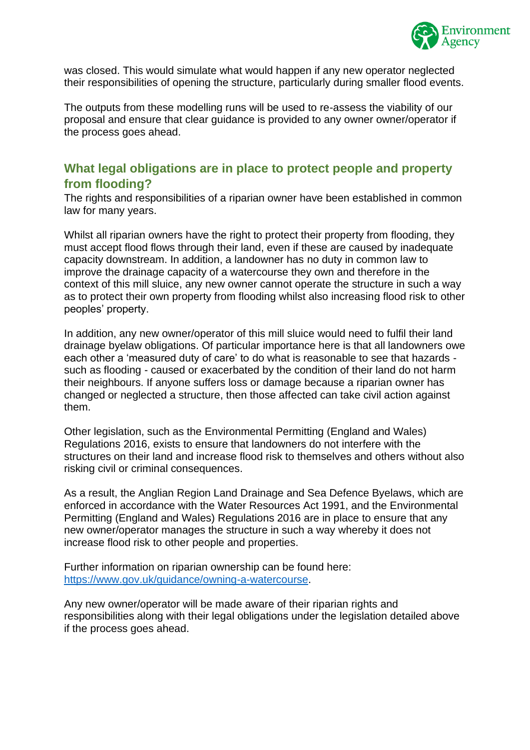

was closed. This would simulate what would happen if any new operator neglected their responsibilities of opening the structure, particularly during smaller flood events.

The outputs from these modelling runs will be used to re-assess the viability of our proposal and ensure that clear guidance is provided to any owner owner/operator if the process goes ahead.

### <span id="page-6-0"></span>**What legal obligations are in place to protect people and property from flooding?**

The rights and responsibilities of a riparian owner have been established in common law for many years.

Whilst all riparian owners have the right to protect their property from flooding, they must accept flood flows through their land, even if these are caused by inadequate capacity downstream. In addition, a landowner has no duty in common law to improve the drainage capacity of a watercourse they own and therefore in the context of this mill sluice, any new owner cannot operate the structure in such a way as to protect their own property from flooding whilst also increasing flood risk to other peoples' property.

In addition, any new owner/operator of this mill sluice would need to fulfil their land drainage byelaw obligations. Of particular importance here is that all landowners owe each other a 'measured duty of care' to do what is reasonable to see that hazards such as flooding - caused or exacerbated by the condition of their land do not harm their neighbours. If anyone suffers loss or damage because a riparian owner has changed or neglected a structure, then those affected can take civil action against them.

Other legislation, such as the Environmental Permitting (England and Wales) Regulations 2016, exists to ensure that landowners do not interfere with the structures on their land and increase flood risk to themselves and others without also risking civil or criminal consequences.

As a result, the Anglian Region Land Drainage and Sea Defence Byelaws, which are enforced in accordance with the Water Resources Act 1991, and the Environmental Permitting (England and Wales) Regulations 2016 are in place to ensure that any new owner/operator manages the structure in such a way whereby it does not increase flood risk to other people and properties.

Further information on riparian ownership can be found here: [https://www.gov.uk/guidance/owning-a-watercourse.](https://www.gov.uk/guidance/owning-a-watercourse)

Any new owner/operator will be made aware of their riparian rights and responsibilities along with their legal obligations under the legislation detailed above if the process goes ahead.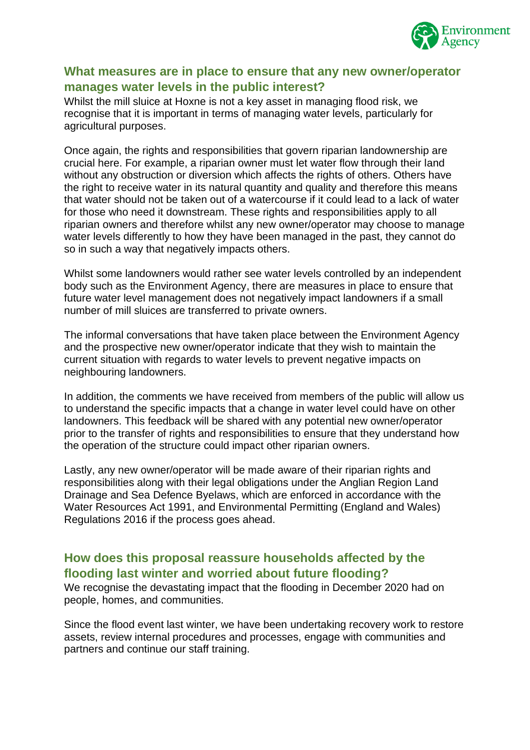

### <span id="page-7-0"></span>**What measures are in place to ensure that any new owner/operator manages water levels in the public interest?**

Whilst the mill sluice at Hoxne is not a key asset in managing flood risk, we recognise that it is important in terms of managing water levels, particularly for agricultural purposes.

Once again, the rights and responsibilities that govern riparian landownership are crucial here. For example, a riparian owner must let water flow through their land without any obstruction or diversion which affects the rights of others. Others have the right to receive water in its natural quantity and quality and therefore this means that water should not be taken out of a watercourse if it could lead to a lack of water for those who need it downstream. These rights and responsibilities apply to all riparian owners and therefore whilst any new owner/operator may choose to manage water levels differently to how they have been managed in the past, they cannot do so in such a way that negatively impacts others.

Whilst some landowners would rather see water levels controlled by an independent body such as the Environment Agency, there are measures in place to ensure that future water level management does not negatively impact landowners if a small number of mill sluices are transferred to private owners.

The informal conversations that have taken place between the Environment Agency and the prospective new owner/operator indicate that they wish to maintain the current situation with regards to water levels to prevent negative impacts on neighbouring landowners.

In addition, the comments we have received from members of the public will allow us to understand the specific impacts that a change in water level could have on other landowners. This feedback will be shared with any potential new owner/operator prior to the transfer of rights and responsibilities to ensure that they understand how the operation of the structure could impact other riparian owners.

Lastly, any new owner/operator will be made aware of their riparian rights and responsibilities along with their legal obligations under the Anglian Region Land Drainage and Sea Defence Byelaws, which are enforced in accordance with the Water Resources Act 1991, and Environmental Permitting (England and Wales) Regulations 2016 if the process goes ahead.

### <span id="page-7-1"></span>**How does this proposal reassure households affected by the flooding last winter and worried about future flooding?**

We recognise the devastating impact that the flooding in December 2020 had on people, homes, and communities.

Since the flood event last winter, we have been undertaking recovery work to restore assets, review internal procedures and processes, engage with communities and partners and continue our staff training.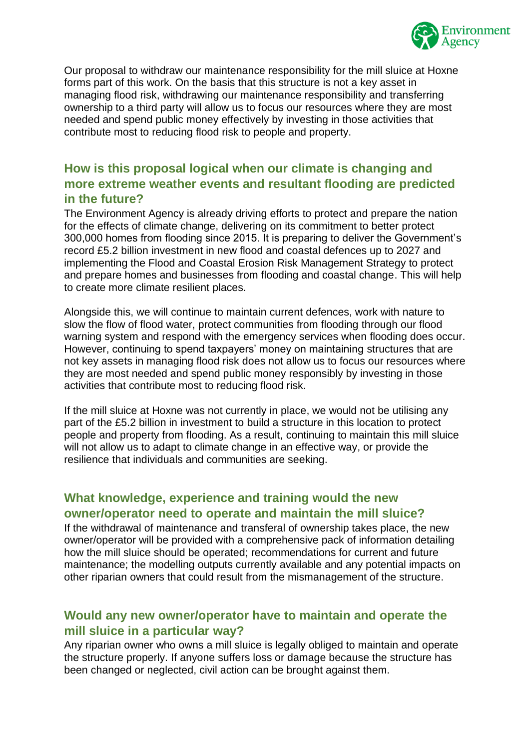

Our proposal to withdraw our maintenance responsibility for the mill sluice at Hoxne forms part of this work. On the basis that this structure is not a key asset in managing flood risk, withdrawing our maintenance responsibility and transferring ownership to a third party will allow us to focus our resources where they are most needed and spend public money effectively by investing in those activities that contribute most to reducing flood risk to people and property.

### <span id="page-8-0"></span>**How is this proposal logical when our climate is changing and more extreme weather events and resultant flooding are predicted in the future?**

The Environment Agency is already driving efforts to protect and prepare the nation for the effects of climate change, delivering on its commitment to better protect 300,000 homes from flooding since 2015. It is preparing to deliver the Government's record £5.2 billion investment in new flood and coastal defences up to 2027 and implementing the Flood and Coastal Erosion Risk Management Strategy to protect and prepare homes and businesses from flooding and coastal change. This will help to create more climate resilient places.

Alongside this, we will continue to maintain current defences, work with nature to slow the flow of flood water, protect communities from flooding through our flood warning system and respond with the emergency services when flooding does occur. However, continuing to spend taxpayers' money on maintaining structures that are not key assets in managing flood risk does not allow us to focus our resources where they are most needed and spend public money responsibly by investing in those activities that contribute most to reducing flood risk.

If the mill sluice at Hoxne was not currently in place, we would not be utilising any part of the £5.2 billion in investment to build a structure in this location to protect people and property from flooding. As a result, continuing to maintain this mill sluice will not allow us to adapt to climate change in an effective way, or provide the resilience that individuals and communities are seeking.

### <span id="page-8-1"></span>**What knowledge, experience and training would the new owner/operator need to operate and maintain the mill sluice?**

If the withdrawal of maintenance and transferal of ownership takes place, the new owner/operator will be provided with a comprehensive pack of information detailing how the mill sluice should be operated; recommendations for current and future maintenance; the modelling outputs currently available and any potential impacts on other riparian owners that could result from the mismanagement of the structure.

### <span id="page-8-2"></span>**Would any new owner/operator have to maintain and operate the mill sluice in a particular way?**

Any riparian owner who owns a mill sluice is legally obliged to maintain and operate the structure properly. If anyone suffers loss or damage because the structure has been changed or neglected, civil action can be brought against them.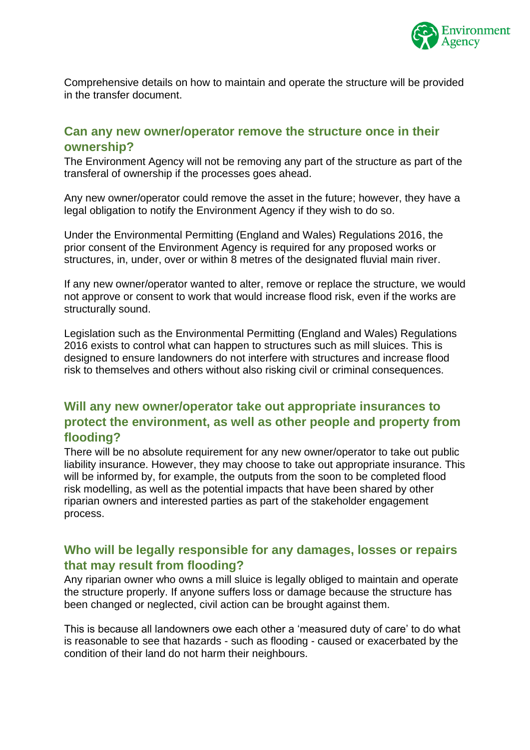

Comprehensive details on how to maintain and operate the structure will be provided in the transfer document.

### <span id="page-9-0"></span>**Can any new owner/operator remove the structure once in their ownership?**

The Environment Agency will not be removing any part of the structure as part of the transferal of ownership if the processes goes ahead.

Any new owner/operator could remove the asset in the future; however, they have a legal obligation to notify the Environment Agency if they wish to do so.

Under the Environmental Permitting (England and Wales) Regulations 2016, the prior consent of the Environment Agency is required for any proposed works or structures, in, under, over or within 8 metres of the designated fluvial main river.

If any new owner/operator wanted to alter, remove or replace the structure, we would not approve or consent to work that would increase flood risk, even if the works are structurally sound.

Legislation such as the Environmental Permitting (England and Wales) Regulations 2016 exists to control what can happen to structures such as mill sluices. This is designed to ensure landowners do not interfere with structures and increase flood risk to themselves and others without also risking civil or criminal consequences.

### <span id="page-9-1"></span>**Will any new owner/operator take out appropriate insurances to protect the environment, as well as other people and property from flooding?**

There will be no absolute requirement for any new owner/operator to take out public liability insurance. However, they may choose to take out appropriate insurance. This will be informed by, for example, the outputs from the soon to be completed flood risk modelling, as well as the potential impacts that have been shared by other riparian owners and interested parties as part of the stakeholder engagement process.

#### <span id="page-9-2"></span>**Who will be legally responsible for any damages, losses or repairs that may result from flooding?**

Any riparian owner who owns a mill sluice is legally obliged to maintain and operate the structure properly. If anyone suffers loss or damage because the structure has been changed or neglected, civil action can be brought against them.

This is because all landowners owe each other a 'measured duty of care' to do what is reasonable to see that hazards - such as flooding - caused or exacerbated by the condition of their land do not harm their neighbours.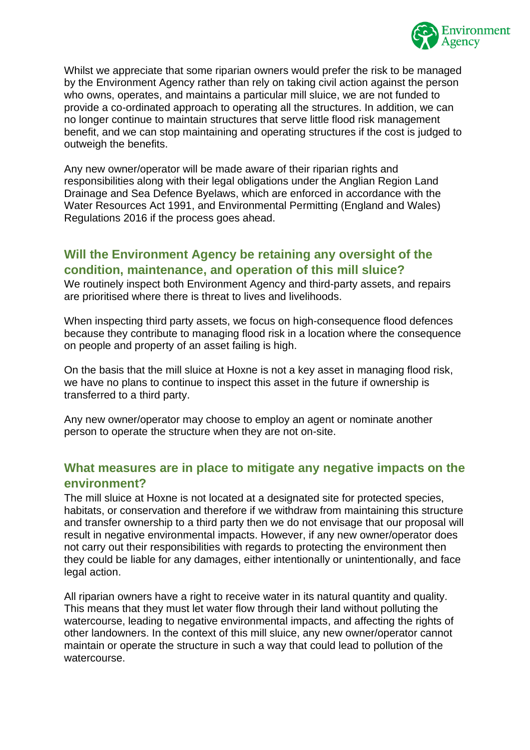

Whilst we appreciate that some riparian owners would prefer the risk to be managed by the Environment Agency rather than rely on taking civil action against the person who owns, operates, and maintains a particular mill sluice, we are not funded to provide a co-ordinated approach to operating all the structures. In addition, we can no longer continue to maintain structures that serve little flood risk management benefit, and we can stop maintaining and operating structures if the cost is judged to outweigh the benefits.

Any new owner/operator will be made aware of their riparian rights and responsibilities along with their legal obligations under the Anglian Region Land Drainage and Sea Defence Byelaws, which are enforced in accordance with the Water Resources Act 1991, and Environmental Permitting (England and Wales) Regulations 2016 if the process goes ahead.

### <span id="page-10-0"></span>**Will the Environment Agency be retaining any oversight of the condition, maintenance, and operation of this mill sluice?**

We routinely inspect both Environment Agency and third-party assets, and repairs are prioritised where there is threat to lives and livelihoods.

When inspecting third party assets, we focus on high-consequence flood defences because they contribute to managing flood risk in a location where the consequence on people and property of an asset failing is high.

On the basis that the mill sluice at Hoxne is not a key asset in managing flood risk, we have no plans to continue to inspect this asset in the future if ownership is transferred to a third party.

Any new owner/operator may choose to employ an agent or nominate another person to operate the structure when they are not on-site.

### <span id="page-10-1"></span>**What measures are in place to mitigate any negative impacts on the environment?**

The mill sluice at Hoxne is not located at a designated site for protected species, habitats, or conservation and therefore if we withdraw from maintaining this structure and transfer ownership to a third party then we do not envisage that our proposal will result in negative environmental impacts. However, if any new owner/operator does not carry out their responsibilities with regards to protecting the environment then they could be liable for any damages, either intentionally or unintentionally, and face legal action.

All riparian owners have a right to receive water in its natural quantity and quality. This means that they must let water flow through their land without polluting the watercourse, leading to negative environmental impacts, and affecting the rights of other landowners. In the context of this mill sluice, any new owner/operator cannot maintain or operate the structure in such a way that could lead to pollution of the watercourse.